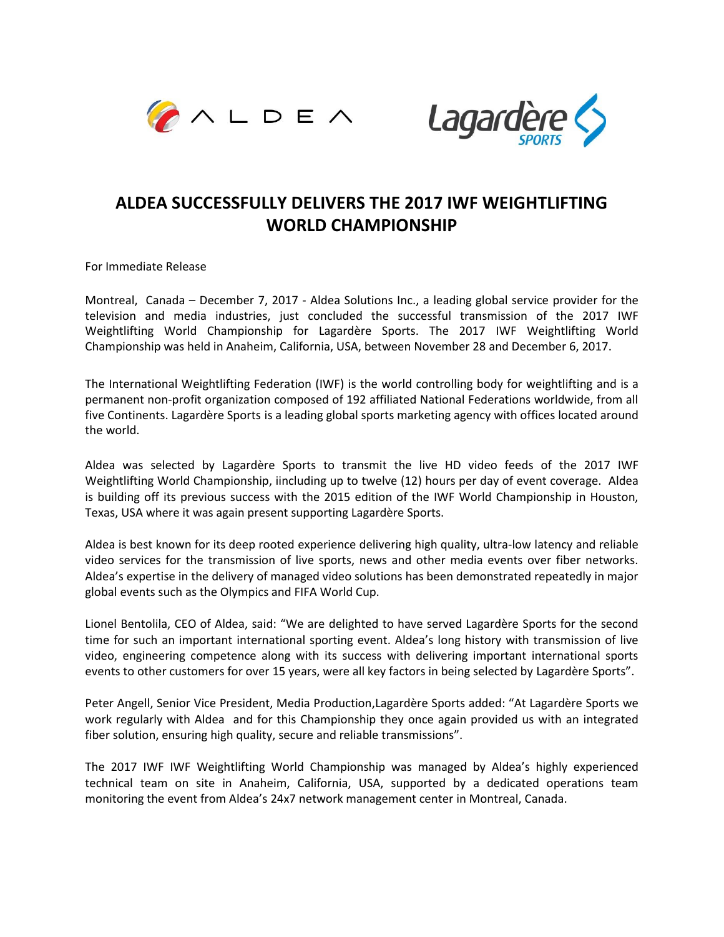



## **ALDEA SUCCESSFULLY DELIVERS THE 2017 IWF WEIGHTLIFTING WORLD CHAMPIONSHIP**

For Immediate Release

Montreal, Canada – December 7, 2017 - Aldea Solutions Inc., a leading global service provider for the television and media industries, just concluded the successful transmission of the 2017 IWF Weightlifting World Championship for Lagardère Sports. The 2017 IWF Weightlifting World Championship was held in Anaheim, California, USA, between November 28 and December 6, 2017.

The International Weightlifting Federation (IWF) is the world controlling body for weightlifting and is a permanent non-profit organization composed of 192 affiliated National Federations worldwide, from all five Continents. Lagardère Sports is a leading global sports marketing agency with offices located around the world.

Aldea was selected by Lagardère Sports to transmit the live HD video feeds of the 2017 IWF Weightlifting World Championship, iincluding up to twelve (12) hours per day of event coverage. Aldea is building off its previous success with the 2015 edition of the IWF World Championship in Houston, Texas, USA where it was again present supporting Lagardère Sports.

Aldea is best known for its deep rooted experience delivering high quality, ultra-low latency and reliable video services for the transmission of live sports, news and other media events over fiber networks. Aldea's expertise in the delivery of managed video solutions has been demonstrated repeatedly in major global events such as the Olympics and FIFA World Cup.

Lionel Bentolila, CEO of Aldea, said: "We are delighted to have served Lagardère Sports for the second time for such an important international sporting event. Aldea's long history with transmission of live video, engineering competence along with its success with delivering important international sports events to other customers for over 15 years, were all key factors in being selected by Lagardère Sports".

Peter Angell, Senior Vice President, Media Production,Lagardère Sports added: "At Lagardère Sports we work regularly with Aldea and for this Championship they once again provided us with an integrated fiber solution, ensuring high quality, secure and reliable transmissions".

The 2017 IWF IWF Weightlifting World Championship was managed by Aldea's highly experienced technical team on site in Anaheim, California, USA, supported by a dedicated operations team monitoring the event from Aldea's 24x7 network management center in Montreal, Canada.